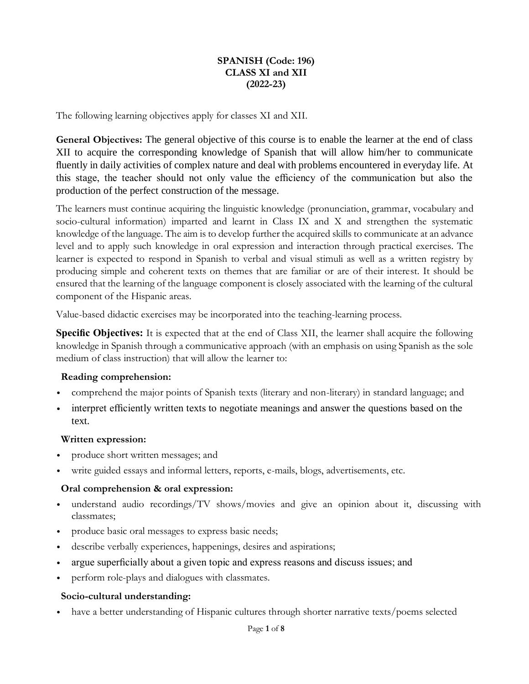# **SPANISH (Code: 196) CLASS XI and XII (2022-23)**

The following learning objectives apply for classes XI and XII.

**General Objectives:** The general objective of this course is to enable the learner at the end of class XII to acquire the corresponding knowledge of Spanish that will allow him/her to communicate fluently in daily activities of complex nature and deal with problems encountered in everyday life. At this stage, the teacher should not only value the efficiency of the communication but also the production of the perfect construction of the message.

The learners must continue acquiring the linguistic knowledge (pronunciation, grammar, vocabulary and socio-cultural information) imparted and learnt in Class IX and X and strengthen the systematic knowledge of the language. The aim is to develop further the acquired skills to communicate at an advance level and to apply such knowledge in oral expression and interaction through practical exercises. The learner is expected to respond in Spanish to verbal and visual stimuli as well as a written registry by producing simple and coherent texts on themes that are familiar or are of their interest. It should be ensured that the learning of the language component is closely associated with the learning of the cultural component of the Hispanic areas.

Value-based didactic exercises may be incorporated into the teaching-learning process.

**Specific Objectives:** It is expected that at the end of Class XII, the learner shall acquire the following knowledge in Spanish through a communicative approach (with an emphasis on using Spanish as the sole medium of class instruction) that will allow the learner to:

#### **Reading comprehension:**

- comprehend the major points of Spanish texts (literary and non-literary) in standard language; and
- interpret efficiently written texts to negotiate meanings and answer the questions based on the text.

#### **Written expression:**

- produce short written messages; and
- write guided essays and informal letters, reports, e-mails, blogs, advertisements, etc.

#### **Oral comprehension & oral expression:**

- understand audio recordings/TV shows/movies and give an opinion about it, discussing with classmates;
- produce basic oral messages to express basic needs;
- describe verbally experiences, happenings, desires and aspirations;
- argue superficially about a given topic and express reasons and discuss issues; and
- perform role-plays and dialogues with classmates.

#### **Socio-cultural understanding:**

• have a better understanding of Hispanic cultures through shorter narrative texts/poems selected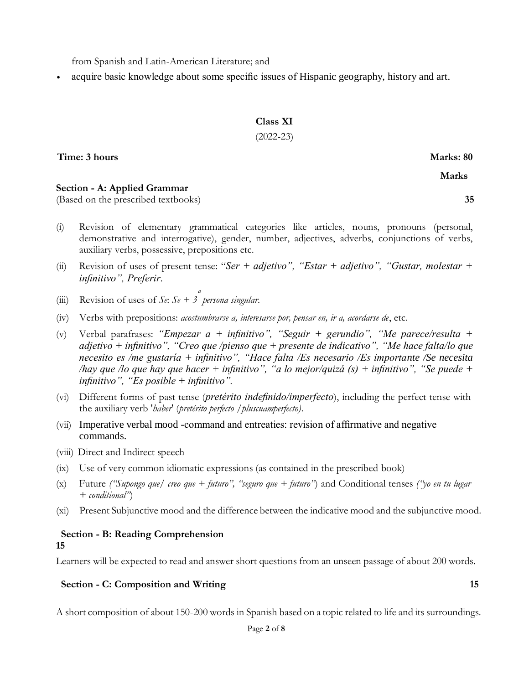from Spanish and Latin-American Literature; and

• acquire basic knowledge about some specific issues of Hispanic geography, history and art.

# **Class XI**

# (2022-23)

**Time: 3 hours Marks: 80**

 **Marks**

# **Section - A: Applied Grammar**

(Based on the prescribed textbooks) **35**

- (i) Revision of elementary grammatical categories like articles, nouns, pronouns (personal, demonstrative and interrogative), gender, number, adjectives, adverbs, conjunctions of verbs, auxiliary verbs, possessive, prepositions etc.
- (ii) Revision of uses of present tense: "*Ser + adjetivo", "Estar + adjetivo", "Gustar, molestar + infinitivo", Preferir*.
- (iii) Revision of uses of  $Se: Se + 3$  persona singular.
- (iv) Verbs with prepositions: *acostumbrarse a, interesarse por, pensar en, ir a, acordarse de*, etc.
- (v) Verbal parafrases: *"Empezar a + infinitivo", "Seguir + gerundio", "Me parece/resulta + adjetivo + infinitivo", "Creo que /pienso que + presente de indicativo", "Me hace falta/lo que necesito es /me gustaría + infinitivo", "Hace falta /Es necesario /Es importante /Se necesita /hay que /lo que hay que hacer + infinitivo", "a lo mejor/quizá (s) + infinitivo", "Se puede + infinitivo", "Es posible + infinitivo".*
- (vi) Different forms of past tense (*pretérito indefinido/imperfecto*), including the perfect tense with the auxiliary verb '*haber*' (*pretérito perfecto /pluscuamperfecto)*.
- (vii) Imperative verbal mood -command and entreaties: revision of affirmative and negative commands.
- (viii) Direct and Indirect speech
- (ix) Use of very common idiomatic expressions (as contained in the prescribed book)
- (x) Future *("Supongo que/ creo que + futuro", "seguro que + futuro"*) and Conditional tenses *("yo en tu lugar + conditional"*)
- (xi) Present Subjunctive mood and the difference between the indicative mood and the subjunctive mood.

# **Section - B: Reading Comprehension**

**15**

Learners will be expected to read and answer short questions from an unseen passage of about 200 words.

# **Section - C: Composition and Writing 15**

A short composition of about 150-200 words in Spanish based on a topic related to life and its surroundings.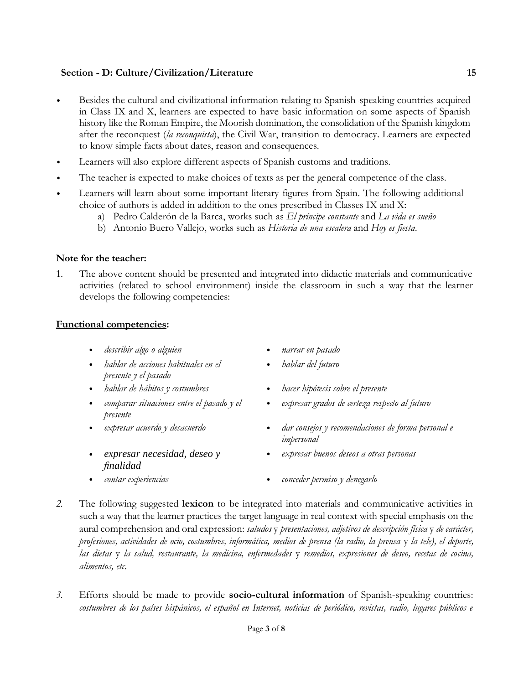# **Section - D: Culture/Civilization/Literature 15**

- Besides the cultural and civilizational information relating to Spanish-speaking countries acquired in Class IX and X, learners are expected to have basic information on some aspects of Spanish history like the Roman Empire, the Moorish domination, the consolidation of the Spanish kingdom after the reconquest (*la reconquista*), the Civil War, transition to democracy. Learners are expected to know simple facts about dates, reason and consequences.
- Learners will also explore different aspects of Spanish customs and traditions.
- The teacher is expected to make choices of texts as per the general competence of the class.
- Learners will learn about some important literary figures from Spain. The following additional choice of authors is added in addition to the ones prescribed in Classes IX and X:
	- a) Pedro Calderón de la Barca, works such as *El príncipe constante* and *La vida es sueño*
	- b) Antonio Buero Vallejo, works such as *Historia de una escalera* and *Hoy es fiesta*.

#### **Note for the teacher:**

1. The above content should be presented and integrated into didactic materials and communicative activities (related to school environment) inside the classroom in such a way that the learner develops the following competencies:

#### **Functional competencies:**

- *describir algo o alguien narrar en pasado*
- *hablar de acciones habituales en el presente y el pasado*
- 
- *comparar situaciones entre el pasado y el presente*
- 
- *expresar necesidad, deseo y finalidad*
- 
- 
- *hablar del futuro*
- *hablar de hábitos y costumbres hacer hipótesis sobre el presente*
	- *expresar grados de certeza respecto al futuro*
	- *expresar acuerdo y desacuerdo dar consejos y recomendaciones de forma personal e impersonal*
		- *expresar buenos deseos a otras personas*
- *contar experiencias conceder permiso y denegarlo*
- *2.* The following suggested **lexicon** to be integrated into materials and communicative activities in such a way that the learner practices the target language in real context with special emphasis on the aural comprehension and oral expression: *saludos* y *presentaciones, adjetivos de descripción física* y *de carácter, profesiones, actividades de ocio, costumbres, informática, medios de prensa (la radio, la prensa* y *la tele), el deporte, las dietas* y *la salud, restaurante, la medicina, enfermedades* y *remedios, expresiones de deseo, recetas de cocina, alimentos, etc.*
- *3.* Efforts should be made to provide **socio-cultural information** of Spanish-speaking countries: costumbres de los países hispánicos, el español en Internet, noticias de periódico, revistas, radio, lugares públicos e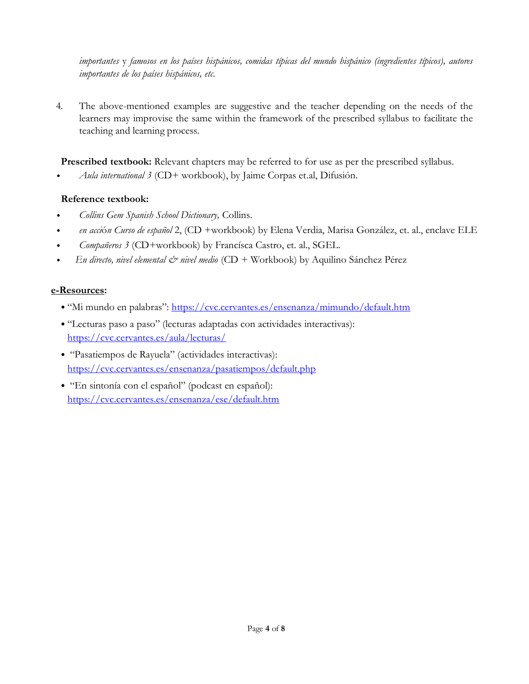*importantes* y *famosos en los países hispánicos, comidas típicas del mundo hispánico (ingredientes típicos), autores importantes de los países hispánicos, etc.*

4. The above-mentioned examples are suggestive and the teacher depending on the needs of the learners may improvise the same within the framework of the prescribed syllabus to facilitate the teaching and learning process.

**Prescribed textbook:** Relevant chapters may be referred to for use as per the prescribed syllabus.

• *Aula international 3* (CD+ workbook), by Jaime Corpas et.al, Difusión.

# **Reference textbook:**

- *Collins Gem Spanish School Dictionary,* Collins.
- *en acci*ó*n Curso de español* 2, (CD +workbook) by Elena Verdia, Marisa González, et. al., enclave ELE
- *Compañeros 3* (CD+workbook) by Francísca Castro, et. al., SGEL.
- • *En directo, nivel elemental & nivel medio* (CD + Workbook) by Aquilino Sánchez Pérez

# **e-Resources:**

- "Mi mundo en palabras": <https://cvc.cervantes.es/ensenanza/mimundo/default.htm>
- "Lecturas paso a paso" (lecturas adaptadas con actividades interactivas): <https://cvc.cervantes.es/aula/lecturas/>
- "Pasatiempos de Rayuela" (actividades interactivas): <https://cvc.cervantes.es/ensenanza/pasatiempos/default.php>
- "En sintonía con el español" (podcast en español): <https://cvc.cervantes.es/ensenanza/ese/default.htm>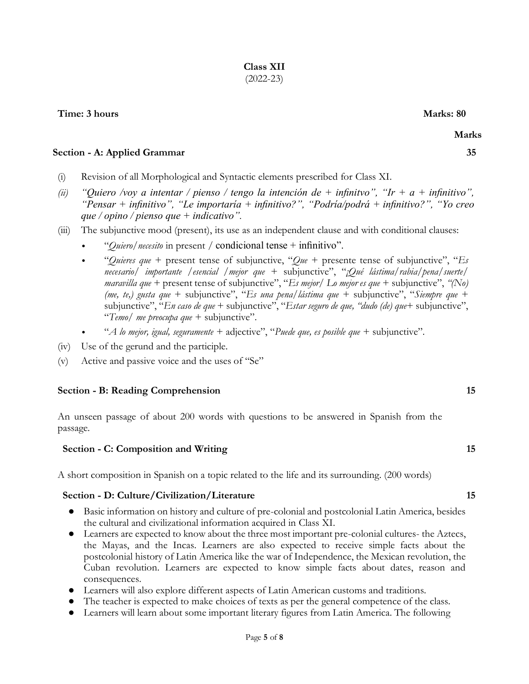# **Time: 3 hours** Marks: 80

#### **Section - A: Applied Grammar 35**

- (i) Revision of all Morphological and Syntactic elements prescribed for Class XI.
- *(ii) "Quiero /voy a intentar / pienso / tengo la intención de + infinitvo", "Ir + a + infinitivo", "Pensar + infinitivo", "Le importaría + infinitivo?", "Podría/podrá + infinitivo?", "Yo creo que / opino / pienso que + indicativo".*
- (iii) The subjunctive mood (present), its use as an independent clause and with conditional clauses:
	- "*Quiero/necesito* in present */* condicional tense + infinitivo".
	- "*Quieres que* + present tense of subjunctive, "*Que* + presente tense of subjunctive", "*Es necesario/ importante /esencial /mejor que* + subjunctive", "*¡Qué lástima/rabia/pena/suerte/ maravilla que* + present tense of subjunctive", "*Es mejor/ Lo mejor es que* + subjunctive", *"(No) (me, te,) gusta que* + subjunctive", "*Es una pena/lástima que* + subjunctive", "*Siempre que* + subjunctive", "*En caso de que* + subjunctive", "*Estar seguro de que, "dudo (de) que*+ subjunctive", "*Temo/ me preocupa que* + subjunctive".
	- "*A lo mejor, igual, seguramente* + adjective", "*Puede que, es posible que* + subjunctive".
- (iv) Use of the gerund and the participle.
- (v) Active and passive voice and the uses of "Se"

#### **Section - B: Reading Comprehension 15**

An unseen passage of about 200 words with questions to be answered in Spanish from the passage.

#### **Section - C: Composition and Writing 15** 15

A short composition in Spanish on a topic related to the life and its surrounding. (200 words)

#### **Section - D: Culture/Civilization/Literature 15**

- Basic information on history and culture of pre-colonial and postcolonial Latin America, besides the cultural and civilizational information acquired in Class XI.
- Learners are expected to know about the three most important pre-colonial cultures- the Aztecs, the Mayas, and the Incas. Learners are also expected to receive simple facts about the postcolonial history of Latin America like the war of Independence, the Mexican revolution, the Cuban revolution. Learners are expected to know simple facts about dates, reason and consequences.
- Learners will also explore different aspects of Latin American customs and traditions.
- The teacher is expected to make choices of texts as per the general competence of the class.
- Learners will learn about some important literary figures from Latin America. The following

 **Marks**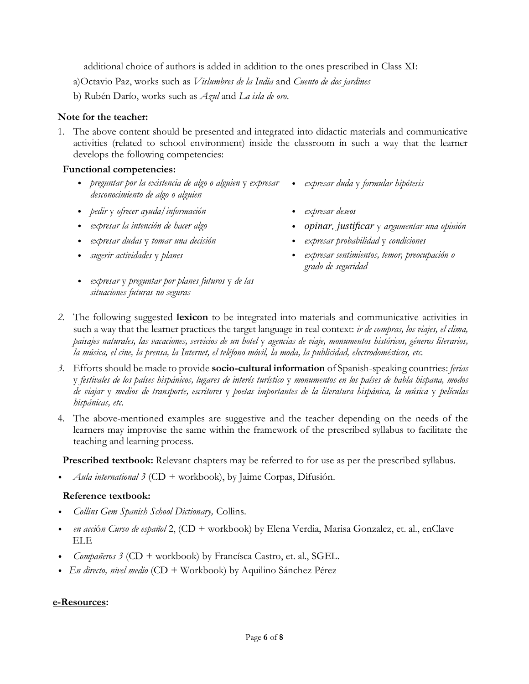additional choice of authors is added in addition to the ones prescribed in Class XI:

a)Octavio Paz, works such as *Vislumbres de la India* and *Cuento de dos jardines* 

b) Rubén Darío, works such as *Azul* and *La isla de oro*.

# **Note for the teacher:**

1. The above content should be presented and integrated into didactic materials and communicative activities (related to school environment) inside the classroom in such a way that the learner develops the following competencies:

# **Functional competencies:**

- *preguntar por la existencia de algo o alguien* y *expresar expresar duda* y *formular hipótesis desconocimiento de algo o alguien*
- *pedir* y *ofrecer ayuda/información expresar deseos*
- 
- *expresar dudas* y *tomar una decisión expresar probabilidad* y *condiciones*
- 
- *expresar* y *preguntar por planes futuros* y *de las situaciones futuras no seguras*
- 
- *expresar la intención de hacer algo opinar, justificar* y *argumentar una opinión*
	-
- *sugerir actividades* y *planes expresar sentimientos, temor, preocupación o grado de seguridad*
- *2.* The following suggested **lexicon** to be integrated into materials and communicative activities in such a way that the learner practices the target language in real context: *ir de compras, los viajes, el clima, paisajes naturales, las vacaciones, servicios de un hotel* y *agencias de viaje, monumentos históricos, géneros literarios, la música, el cine, la prensa, la Internet, el teléfono móvil, la moda, la publicidad, electrodomésticos, etc.*
- *3.* Efforts should be made to provide **socio-cultural information** of Spanish-speaking countries: *ferias*  y *festivales de los países hispánicos, lugares de interés turístico* y *monumentos en los países de habla hispana, modos de viajar* y *medios de transporte, escritores* y *poetas importantes de la literatura hispánica, la música* y *películas hispánicas, etc.*
- 4. The above-mentioned examples are suggestive and the teacher depending on the needs of the learners may improvise the same within the framework of the prescribed syllabus to facilitate the teaching and learning process.

**Prescribed textbook:** Relevant chapters may be referred to for use as per the prescribed syllabus.

• *Aula international 3* (CD + workbook), by Jaime Corpas, Difusión.

#### **Reference textbook:**

- *Collins Gem Spanish School Dictionary,* Collins.
- *en acci*ó*n Curso de español* 2, (CD + workbook) by Elena Verdia, Marisa Gonzalez, et. al., enClave ELE
- *Compañeros 3* (CD + workbook) by Francísca Castro, et. al., SGEL.
- *En directo, nivel medio* (CD + Workbook) by Aquilino Sánchez Pérez

#### **e-Resources:**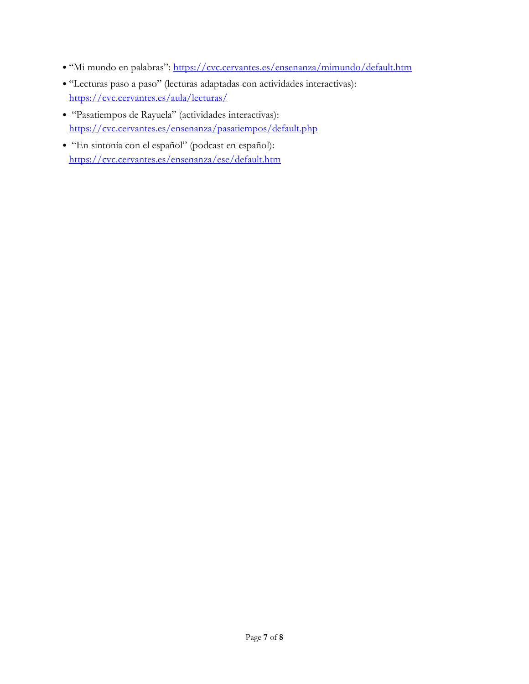- "Mi mundo en palabras": <https://cvc.cervantes.es/ensenanza/mimundo/default.htm>
- "Lecturas paso a paso" (lecturas adaptadas con actividades interactivas): <https://cvc.cervantes.es/aula/lecturas/>
- "Pasatiempos de Rayuela" (actividades interactivas): <https://cvc.cervantes.es/ensenanza/pasatiempos/default.php>
- "En sintonía con el español" (podcast en español): <https://cvc.cervantes.es/ensenanza/ese/default.htm>